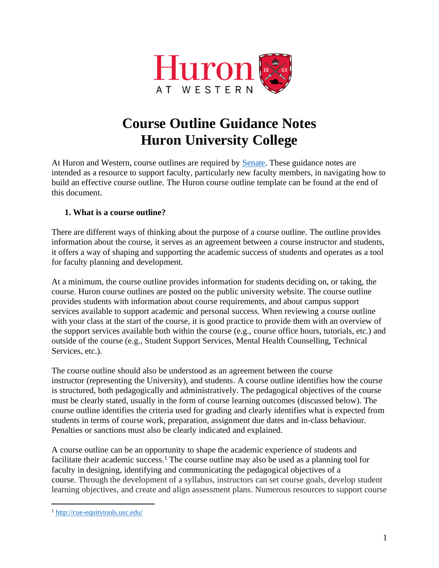

# **Course Outline Guidance Notes Huron University College**

At Huron and Western, course outlines are required by [Senate.](https://www.uwo.ca/univsec/pdf/academic_policies/exam/courseoutlines.pdf) These guidance notes are intended as a resource to support faculty, particularly new faculty members, in navigating how to build an effective course outline. The Huron course outline template can be found at the end of this document.

#### **1. What is a course outline?**

There are different ways of thinking about the purpose of a course outline. The outline provides information about the course, it serves as an agreement between a course instructor and students, it offers a way of shaping and supporting the academic success of students and operates as a tool for faculty planning and development.

At a minimum, the course outline provides information for students deciding on, or taking, the course. Huron course outlines are posted on the public university website. The course outline provides students with information about course requirements, and about campus support services available to support academic and personal success. When reviewing a course outline with your class at the start of the course, it is good practice to provide them with an overview of the support services available both within the course (e.g., course office hours, tutorials, etc.) and outside of the course (e.g., Student Support Services, Mental Health Counselling, Technical Services, etc.).

The course outline should also be understood as an agreement between the course instructor (representing the University), and students. A course outline identifies how the course is structured, both pedagogically and administratively. The pedagogical objectives of the course must be clearly stated, usually in the form of course learning outcomes (discussed below). The course outline identifies the criteria used for grading and clearly identifies what is expected from students in terms of course work, preparation, assignment due dates and in-class behaviour. Penalties or sanctions must also be clearly indicated and explained.

A course outline can be an opportunity to shape the academic experience of students and facilitate their academic success.<sup>1</sup> The course outline may also be used as a planning tool for faculty in designing, identifying and communicating the pedagogical objectives of a course. Through the development of a syllabus, instructors can set course goals, develop student learning objectives, and create and align assessment plans. Numerous resources to support course

<sup>1</sup> <http://cue-equitytools.usc.edu/>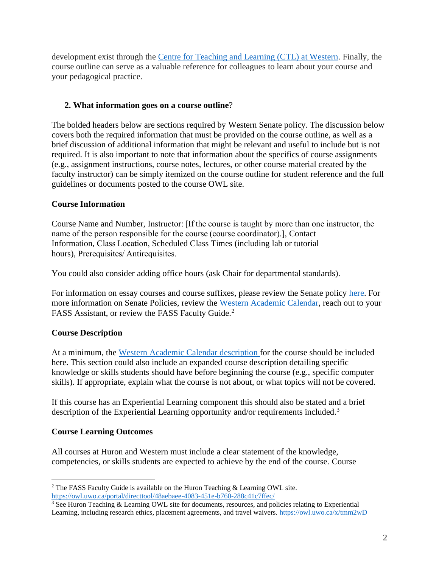development exist through the [Centre for Teaching and Learning \(CTL\) at Western.](https://teaching.uwo.ca/curriculum/coursedesign/index.html) Finally, the course outline can serve as a valuable reference for colleagues to learn about your course and your pedagogical practice.

#### **2. What information goes on a course outline**?

The bolded headers below are sections required by Western Senate policy. The discussion below covers both the required information that must be provided on the course outline, as well as a brief discussion of additional information that might be relevant and useful to include but is not required. It is also important to note that information about the specifics of course assignments (e.g., assignment instructions, course notes, lectures, or other course material created by the faculty instructor) can be simply itemized on the course outline for student reference and the full guidelines or documents posted to the course OWL site.

#### **Course Information**

Course Name and Number, Instructor: [If the course is taught by more than one instructor, the name of the person responsible for the course (course coordinator).], Contact Information, Class Location, Scheduled Class Times (including lab or tutorial hours), Prerequisites/ Antirequisites.

You could also consider adding office hours (ask Chair for departmental standards).

For information on essay courses and course suffixes, please review the Senate policy [here.](https://www.uwo.ca/univsec/pdf/academic_policies/registration_progression_grad/coursenumbering.pdf) For more information on Senate Policies, review the [Western Academic Calendar,](https://www.westerncalendar.uwo.ca/academicPolicies.cfm?SelectedCalendar=Live&ArchiveID=) reach out to your FASS Assistant, or review the FASS Faculty Guide.<sup>2</sup>

# **Course Description**

At a minimum, the Western Academic [Calendar description](https://www.westerncalendar.uwo.ca/Courses.cfm?SelectedCalendar=Live&ArchiveID=) for the course should be included here. This section could also include an expanded course description detailing specific knowledge or skills students should have before beginning the course (e.g., specific computer skills). If appropriate, explain what the course is not about, or what topics will not be covered.

If this course has an Experiential Learning component this should also be stated and a brief description of the Experiential Learning opportunity and/or requirements included.<sup>3</sup>

# **Course Learning Outcomes**

All courses at Huron and Western must include a clear statement of the knowledge, competencies, or skills students are expected to achieve by the end of the course. Course

<sup>&</sup>lt;sup>2</sup> The FASS Faculty Guide is available on the Huron Teaching  $\&$  Learning OWL site. <https://owl.uwo.ca/portal/directtool/48aebaee-4083-451e-b760-288c41c7ffec/>

<sup>&</sup>lt;sup>3</sup> See Huron Teaching & Learning OWL site for documents, resources, and policies relating to Experiential Learning, including research ethics, placement agreements, and travel waivers.<https://owl.uwo.ca/x/tmm2wD>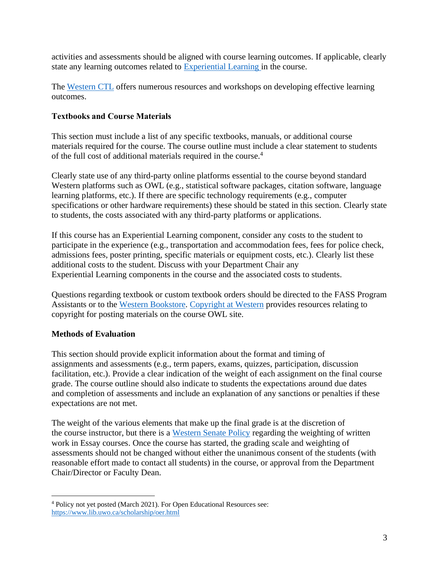activities and assessments should be aligned with course learning outcomes. If applicable, clearly state any learning outcomes related to [Experiential Learning](http://experience.uwo.ca/faculty_and_staff/tools_examples/index.html) in the course.

The [Western CTL](https://teaching.uwo.ca/curriculum/coursedesign/learning-outcomes.html) offers numerous resources and workshops on developing effective learning outcomes.

#### **Textbooks and Course Materials**

This section must include a list of any specific textbooks, manuals, or additional course materials required for the course. The course outline must include a clear statement to students of the full cost of additional materials required in the course.<sup>4</sup>

Clearly state use of any third-party online platforms essential to the course beyond standard Western platforms such as OWL (e.g., statistical software packages, citation software, language learning platforms, etc.). If there are specific technology requirements (e.g., computer specifications or other hardware requirements) these should be stated in this section. Clearly state to students, the costs associated with any third-party platforms or applications.

If this course has an Experiential Learning component, consider any costs to the student to participate in the experience (e.g., transportation and accommodation fees, fees for police check, admissions fees, poster printing, specific materials or equipment costs, etc.). Clearly list these additional costs to the student. Discuss with your Department Chair any Experiential Learning components in the course and the associated costs to students.

Questions regarding textbook or custom textbook orders should be directed to the FASS Program Assistants or to the [Western Bookstore.](https://bookstore.uwo.ca/course-adoptions) [Copyright at Western](https://copyright.uwo.ca/decision_map/index.html) provides resources relating to copyright for posting materials on the course OWL site.

# **Methods of Evaluation**

This section should provide explicit information about the format and timing of assignments and assessments (e.g., term papers, exams, quizzes, participation, discussion facilitation, etc.). Provide a clear indication of the weight of each assignment on the final course grade. The course outline should also indicate to students the expectations around due dates and completion of assessments and include an explanation of any sanctions or penalties if these expectations are not met.

The weight of the various elements that make up the final grade is at the discretion of the course instructor, but there is a [Western Senate Policy](https://www.uwo.ca/univsec/pdf/academic_policies/registration_progression_grad/coursenumbering.pdf) regarding the weighting of written work in Essay courses. Once the course has started, the grading scale and weighting of assessments should not be changed without either the unanimous consent of the students (with reasonable effort made to contact all students) in the course, or approval from the Department Chair/Director or Faculty Dean.

<sup>4</sup> Policy not yet posted (March 2021). For Open Educational Resources see: <https://www.lib.uwo.ca/scholarship/oer.html>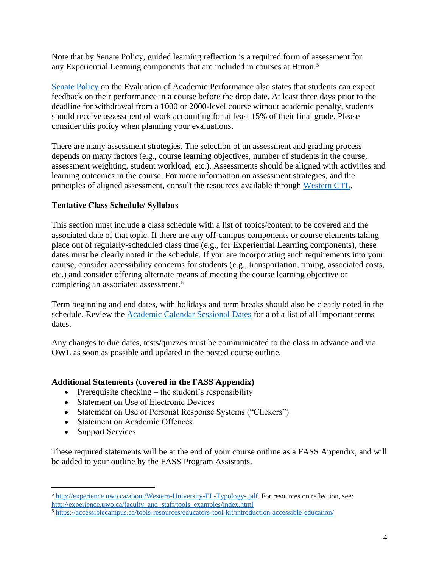Note that by Senate Policy, guided learning reflection is a required form of assessment for any Experiential Learning components that are included in courses at Huron. 5

[Senate Policy](https://www.uwo.ca/univsec/pdf/academic_policies/exam/evaluation_undergrad.pdf) on the Evaluation of Academic Performance also states that students can expect feedback on their performance in a course before the drop date. At least three days prior to the deadline for withdrawal from a 1000 or 2000-level course without academic penalty, students should receive assessment of work accounting for at least 15% of their final grade. Please consider this policy when planning your evaluations.

There are many assessment strategies. The selection of an assessment and grading process depends on many factors (e.g., course learning objectives, number of students in the course, assessment weighting, student workload, etc.). Assessments should be aligned with activities and learning outcomes in the course. For more information on assessment strategies, and the principles of aligned assessment, consult the resources available through [Western CTL.](https://teaching.uwo.ca/teaching/assessing/index.html)

#### **Tentative Class Schedule/ Syllabus**

This section must include a class schedule with a list of topics/content to be covered and the associated date of that topic. If there are any off-campus components or course elements taking place out of regularly-scheduled class time (e.g., for Experiential Learning components), these dates must be clearly noted in the schedule. If you are incorporating such requirements into your course, consider accessibility concerns for students (e.g., transportation, timing, associated costs, etc.) and consider offering alternate means of meeting the course learning objective or completing an associated assessment. 6

Term beginning and end dates, with holidays and term breaks should also be clearly noted in the schedule. Review the [Academic Calendar Sessional Dates](https://www.westerncalendar.uwo.ca/SessionalDates.cfm?SelectedCalendar=Live&ArchiveID=) for a of a list of all important terms dates.

Any changes to due dates, tests/quizzes must be communicated to the class in advance and via OWL as soon as possible and updated in the posted course outline.

#### **Additional Statements (covered in the FASS Appendix)**

- Prerequisite checking  $-$  the student's responsibility
- Statement on Use of Electronic Devices
- Statement on Use of Personal Response Systems ("Clickers")
- Statement on Academic Offences
- Support Services

These required statements will be at the end of your course outline as a FASS Appendix, and will be added to your outline by the FASS Program Assistants.

<sup>5</sup> [http://experience.uwo.ca/about/Western-University-EL-Typology-.pdf.](http://experience.uwo.ca/about/Western-University-EL-Typology-.pdf) For resources on reflection, see: [http://experience.uwo.ca/faculty\\_and\\_staff/tools\\_examples/index.html](http://experience.uwo.ca/faculty_and_staff/tools_examples/index.html) 

<sup>6</sup> <https://accessiblecampus.ca/tools-resources/educators-tool-kit/introduction-accessible-education/>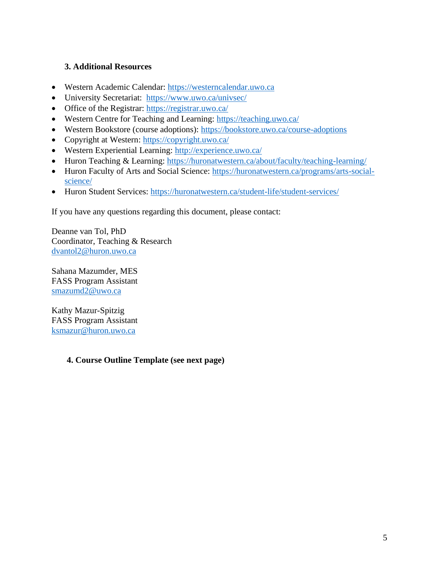#### **3. Additional Resources**

- Western Academic Calendar: [https://westerncalendar.uwo.ca](https://westerncalendar.uwo.ca/)
- University Secretariat: <https://www.uwo.ca/univsec/>
- Office of the Registrar:<https://registrar.uwo.ca/>
- Western Centre for Teaching and Learning:<https://teaching.uwo.ca/>
- Western Bookstore (course adoptions):<https://bookstore.uwo.ca/course-adoptions>
- Copyright at Western:<https://copyright.uwo.ca/>
- Western Experiential Learning:<http://experience.uwo.ca/>
- Huron Teaching & Learning:<https://huronatwestern.ca/about/faculty/teaching-learning/>
- Huron Faculty of Arts and Social Science: [https://huronatwestern.ca/programs/arts-social](https://huronatwestern.ca/programs/arts-social-science/)[science/](https://huronatwestern.ca/programs/arts-social-science/)
- Huron Student Services:<https://huronatwestern.ca/student-life/student-services/>

If you have any questions regarding this document, please contact:

Deanne van Tol, PhD Coordinator, Teaching & Research [dvantol2@huron.uwo.ca](mailto:dvantol2@huron.uwo.ca)

Sahana Mazumder, MES FASS Program Assistant [smazumd2@uwo.ca](mailto:smazumd2@uwo.ca)

Kathy Mazur-Spitzig FASS Program Assistant [ksmazur@huron.uwo.ca](mailto:ksmazur@huron.uwo.ca)

#### **4. Course Outline Template (see next page)**